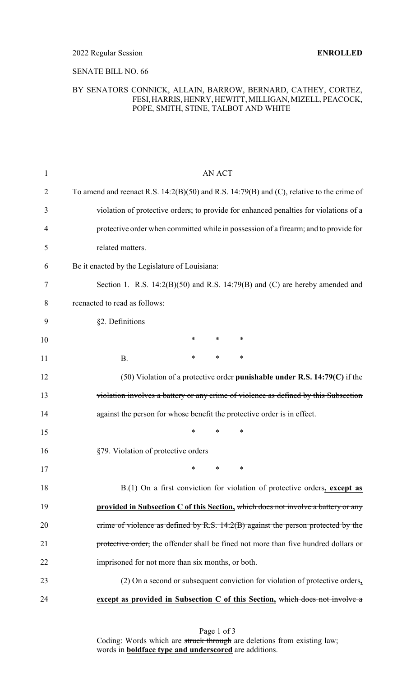### SENATE BILL NO. 66

## BY SENATORS CONNICK, ALLAIN, BARROW, BERNARD, CATHEY, CORTEZ, FESI,HARRIS, HENRY, HEWITT, MILLIGAN, MIZELL, PEACOCK, POPE, SMITH, STINE, TALBOT AND WHITE

| <b>AN ACT</b>                                                                                 |
|-----------------------------------------------------------------------------------------------|
|                                                                                               |
| To amend and reenact R.S. $14:2(B)(50)$ and R.S. $14:79(B)$ and (C), relative to the crime of |
| violation of protective orders; to provide for enhanced penalties for violations of a         |
| protective order when committed while in possession of a firearm; and to provide for          |
| related matters.                                                                              |
| Be it enacted by the Legislature of Louisiana:                                                |
| Section 1. R.S. $14:2(B)(50)$ and R.S. $14:79(B)$ and (C) are hereby amended and              |
| reenacted to read as follows:                                                                 |
| §2. Definitions                                                                               |
| *<br>$\ast$<br>$\ast$                                                                         |
| *<br>$\ast$<br>∗<br><b>B.</b>                                                                 |
| $(50)$ Violation of a protective order <b>punishable under R.S. 14:79(C)</b> if the           |
| violation involves a battery or any crime of violence as defined by this Subsection           |
| against the person for whose benefit the protective order is in effect.                       |
| *<br>$\ast$<br>∗                                                                              |
| §79. Violation of protective orders                                                           |
| $\ast$<br>∗<br>*                                                                              |
| $B(1)$ On a first conviction for violation of protective orders, except as                    |
| provided in Subsection C of this Section, which does not involve a battery or any             |
| crime of violence as defined by R.S. 14:2(B) against the person protected by the              |
| protective order, the offender shall be fined not more than five hundred dollars or           |
| imprisoned for not more than six months, or both.                                             |
| (2) On a second or subsequent conviction for violation of protective orders,                  |
| except as provided in Subsection C of this Section, which does not involve a                  |
|                                                                                               |

Page 1 of 3 Coding: Words which are struck through are deletions from existing law; words in **boldface type and underscored** are additions.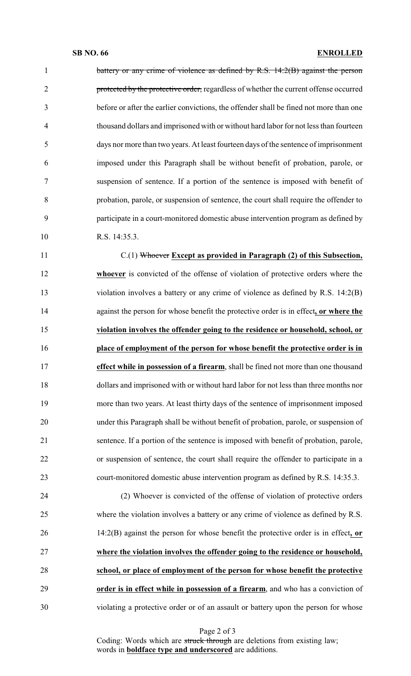1 battery or any crime of violence as defined by R.S. 14:2(B) against the person 2 protected by the protective order, regardless of whether the current offense occurred before or after the earlier convictions, the offender shall be fined not more than one thousand dollars and imprisoned with or without hard labor for not less than fourteen days nor more than two years. At least fourteen days of the sentence of imprisonment imposed under this Paragraph shall be without benefit of probation, parole, or suspension of sentence. If a portion of the sentence is imposed with benefit of probation, parole, or suspension of sentence, the court shall require the offender to participate in a court-monitored domestic abuse intervention program as defined by 10 R.S. 14:35.3.

 C.(1) Whoever **Except as provided in Paragraph (2) of this Subsection, whoever** is convicted of the offense of violation of protective orders where the violation involves a battery or any crime of violence as defined by R.S. 14:2(B) against the person for whose benefit the protective order is in effect**, or where the violation involves the offender going to the residence or household, school, or place of employment of the person for whose benefit the protective order is in effect while in possession of a firearm**, shall be fined not more than one thousand dollars and imprisoned with or without hard labor for not less than three months nor more than two years. At least thirty days of the sentence of imprisonment imposed under this Paragraph shall be without benefit of probation, parole, or suspension of sentence. If a portion of the sentence is imposed with benefit of probation, parole, or suspension of sentence, the court shall require the offender to participate in a court-monitored domestic abuse intervention program as defined by R.S. 14:35.3.

 (2) Whoever is convicted of the offense of violation of protective orders where the violation involves a battery or any crime of violence as defined by R.S. 14:2(B) against the person for whose benefit the protective order is in effect**, or where the violation involves the offender going to the residence or household, school, or place of employment of the person for whose benefit the protective order is in effect while in possession of a firearm**, and who has a conviction of violating a protective order or of an assault or battery upon the person for whose

Page 2 of 3

Coding: Words which are struck through are deletions from existing law; words in **boldface type and underscored** are additions.